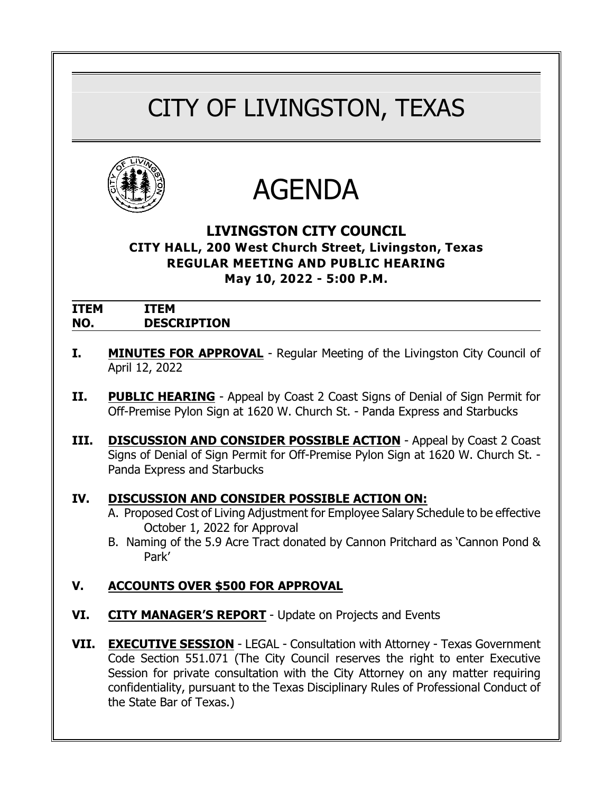# CITY OF LIVINGSTON, TEXAS





## **LIVINGSTON CITY COUNCIL**

**CITY HALL, 200 West Church Street, Livingston, Texas REGULAR MEETING AND PUBLIC HEARING May 10, 2022 - 5:00 P.M.**

| <b>ITEM</b> | <b>ITEM</b>        |
|-------------|--------------------|
| NO.         | <b>DESCRIPTION</b> |

- **I. MINUTES FOR APPROVAL** Regular Meeting of the Livingston City Council of April 12, 2022
- **II. PUBLIC HEARING** Appeal by Coast 2 Coast Signs of Denial of Sign Permit for Off-Premise Pylon Sign at 1620 W. Church St. - Panda Express and Starbucks
- **III. DISCUSSION AND CONSIDER POSSIBLE ACTION** Appeal by Coast 2 Coast Signs of Denial of Sign Permit for Off-Premise Pylon Sign at 1620 W. Church St. - Panda Express and Starbucks

#### **IV. DISCUSSION AND CONSIDER POSSIBLE ACTION ON:**

- A. Proposed Cost of Living Adjustment for Employee Salary Schedule to be effective October 1, 2022 for Approval
- B. Naming of the 5.9 Acre Tract donated by Cannon Pritchard as 'Cannon Pond & Park'

#### **V. ACCOUNTS OVER \$500 FOR APPROVAL**

- **VI. CITY MANAGER'S REPORT**  Update on Projects and Events
- **VII. EXECUTIVE SESSION** LEGAL Consultation with Attorney Texas Government Code Section 551.071 (The City Council reserves the right to enter Executive Session for private consultation with the City Attorney on any matter requiring confidentiality, pursuant to the Texas Disciplinary Rules of Professional Conduct of the State Bar of Texas.)